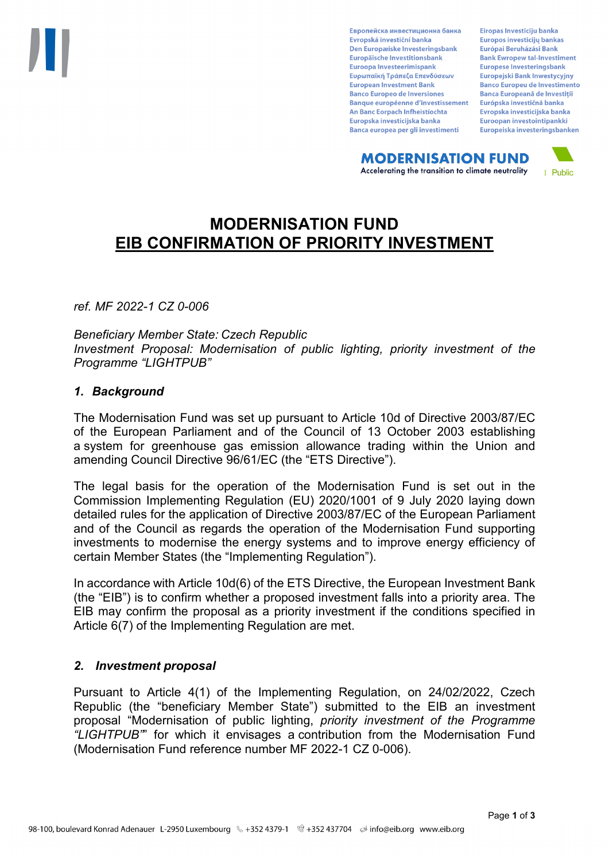Европейска инвестиционна банка Evropská investiční banka Den Europæiske Investeringsbank Europäische Investitionsbank Euroopa Investeerimispank Ευρωπαϊκή Τράπεζα Επενδύσεων **European Investment Bank Banco Europeo de Inversiones Banque européenne d'investissement** An Banc Eorpach Infheistíochta Europska investicijska banka Banca europea per gli investimenti

Eiropas Investīciju banka Europos investicijų bankas Európai Beruházási Bank **Bank Ewropew tal-Investiment** Europese Investeringsbank **Europeiski Bank Inwestycviny Banco Europeu de Investimento Banca Europeană de Investiții** Európska investičná banka Evropska investicijska banka Euroopan investointipankki Europeiska investeringsbanken

**MODERNISATION FUND** Accelerating the transition to climate neutrality



# **MODERNISATION FUND EIB CONFIRMATION OF PRIORITY INVESTMENT**

*ref. MF 2022-1 CZ 0-006*

*Beneficiary Member State: Czech Republic Investment Proposal: Modernisation of public lighting, priority investment of the Programme "LIGHTPUB"*

### *1. Background*

The Modernisation Fund was set up pursuant to Article 10d of Directive 2003/87/EC of the European Parliament and of the Council of 13 October 2003 establishing a system for greenhouse gas emission allowance trading within the Union and amending Council Directive 96/61/EC (the "ETS Directive").

The legal basis for the operation of the Modernisation Fund is set out in the Commission Implementing Regulation (EU) 2020/1001 of 9 July 2020 laying down detailed rules for the application of Directive 2003/87/EC of the European Parliament and of the Council as regards the operation of the Modernisation Fund supporting investments to modernise the energy systems and to improve energy efficiency of certain Member States (the "Implementing Regulation").

In accordance with Article 10d(6) of the ETS Directive, the European Investment Bank (the "EIB") is to confirm whether a proposed investment falls into a priority area. The EIB may confirm the proposal as a priority investment if the conditions specified in Article 6(7) of the Implementing Regulation are met.

### *2. Investment proposal*

Pursuant to Article 4(1) of the Implementing Regulation, on 24/02/2022, Czech Republic (the "beneficiary Member State") submitted to the EIB an investment proposal "Modernisation of public lighting, *priority investment of the Programme "LIGHTPUB"*" for which it envisages a contribution from the Modernisation Fund (Modernisation Fund reference number MF 2022-1 CZ 0-006).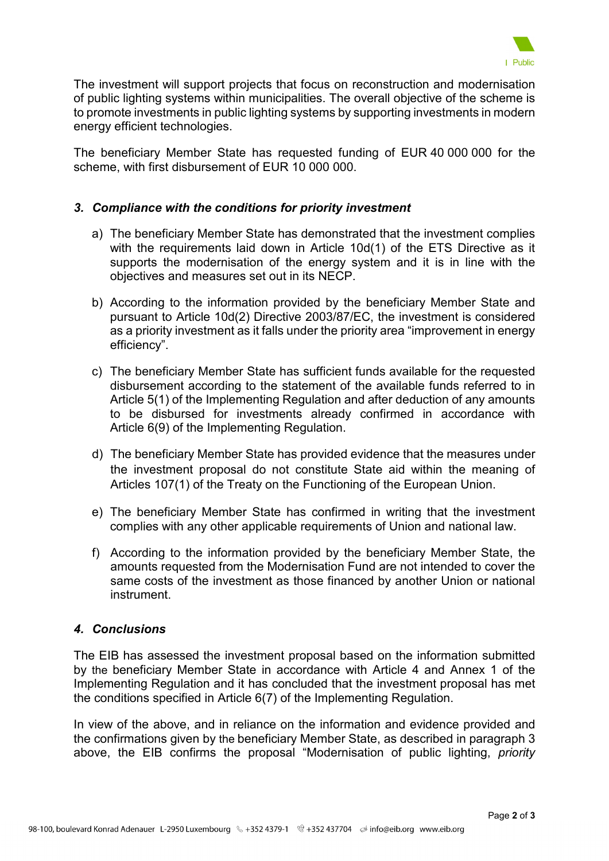

The investment will support projects that focus on reconstruction and modernisation of public lighting systems within municipalities. The overall objective of the scheme is to promote investments in public lighting systems by supporting investments in modern energy efficient technologies.

The beneficiary Member State has requested funding of EUR 40 000 000 for the scheme, with first disbursement of EUR 10 000 000.

## *3. Compliance with the conditions for priority investment*

- a) The beneficiary Member State has demonstrated that the investment complies with the requirements laid down in Article 10d(1) of the ETS Directive as it supports the modernisation of the energy system and it is in line with the objectives and measures set out in its NECP.
- b) According to the information provided by the beneficiary Member State and pursuant to Article 10d(2) Directive 2003/87/EC, the investment is considered as a priority investment as it falls under the priority area "improvement in energy efficiency".
- c) The beneficiary Member State has sufficient funds available for the requested disbursement according to the statement of the available funds referred to in Article 5(1) of the Implementing Regulation and after deduction of any amounts to be disbursed for investments already confirmed in accordance with Article 6(9) of the Implementing Regulation.
- d) The beneficiary Member State has provided evidence that the measures under the investment proposal do not constitute State aid within the meaning of Articles 107(1) of the Treaty on the Functioning of the European Union.
- e) The beneficiary Member State has confirmed in writing that the investment complies with any other applicable requirements of Union and national law.
- f) According to the information provided by the beneficiary Member State, the amounts requested from the Modernisation Fund are not intended to cover the same costs of the investment as those financed by another Union or national instrument.

### *4. Conclusions*

The EIB has assessed the investment proposal based on the information submitted by the beneficiary Member State in accordance with Article 4 and Annex 1 of the Implementing Regulation and it has concluded that the investment proposal has met the conditions specified in Article 6(7) of the Implementing Regulation.

In view of the above, and in reliance on the information and evidence provided and the confirmations given by the beneficiary Member State, as described in paragraph 3 above, the EIB confirms the proposal "Modernisation of public lighting, *priority*